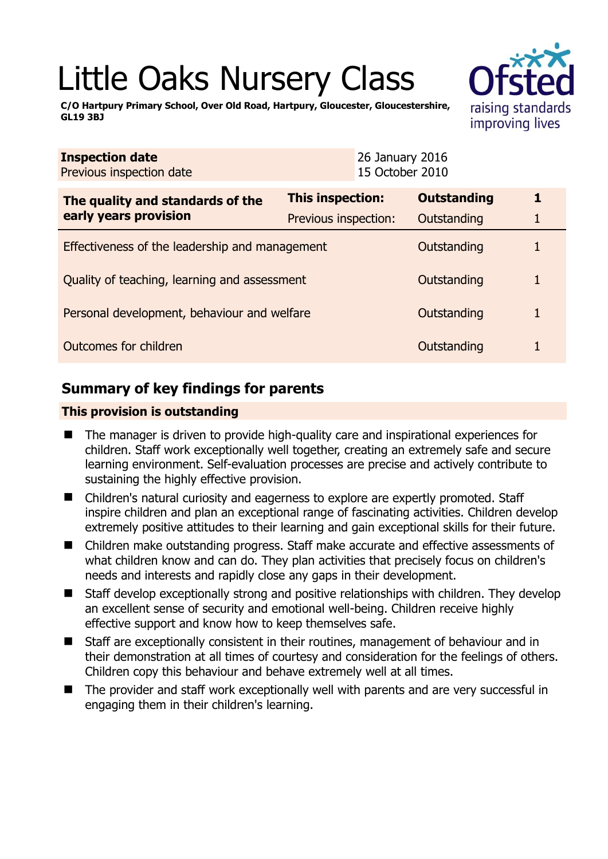# Little Oaks Nursery Class

**C/O Hartpury Primary School, Over Old Road, Hartpury, Gloucester, Gloucestershire, GL19 3BJ** 

| tin 1                                |
|--------------------------------------|
| raising standards<br>improving lives |

| <b>Inspection date</b><br>Previous inspection date        |                         | 26 January 2016<br>15 October 2010 |                    |  |
|-----------------------------------------------------------|-------------------------|------------------------------------|--------------------|--|
| The quality and standards of the<br>early years provision | <b>This inspection:</b> |                                    | <b>Outstanding</b> |  |
|                                                           | Previous inspection:    |                                    | Outstanding        |  |
| Effectiveness of the leadership and management            |                         |                                    | Outstanding        |  |
| Quality of teaching, learning and assessment              |                         |                                    | Outstanding        |  |
| Personal development, behaviour and welfare               |                         |                                    | Outstanding        |  |
| Outcomes for children                                     |                         |                                    | Outstanding        |  |

## **Summary of key findings for parents**

## **This provision is outstanding**

- The manager is driven to provide high-quality care and inspirational experiences for children. Staff work exceptionally well together, creating an extremely safe and secure learning environment. Self-evaluation processes are precise and actively contribute to sustaining the highly effective provision.
- Children's natural curiosity and eagerness to explore are expertly promoted. Staff inspire children and plan an exceptional range of fascinating activities. Children develop extremely positive attitudes to their learning and gain exceptional skills for their future.
- Children make outstanding progress. Staff make accurate and effective assessments of what children know and can do. They plan activities that precisely focus on children's needs and interests and rapidly close any gaps in their development.
- Staff develop exceptionally strong and positive relationships with children. They develop an excellent sense of security and emotional well-being. Children receive highly effective support and know how to keep themselves safe.
- Staff are exceptionally consistent in their routines, management of behaviour and in their demonstration at all times of courtesy and consideration for the feelings of others. Children copy this behaviour and behave extremely well at all times.
- The provider and staff work exceptionally well with parents and are very successful in engaging them in their children's learning.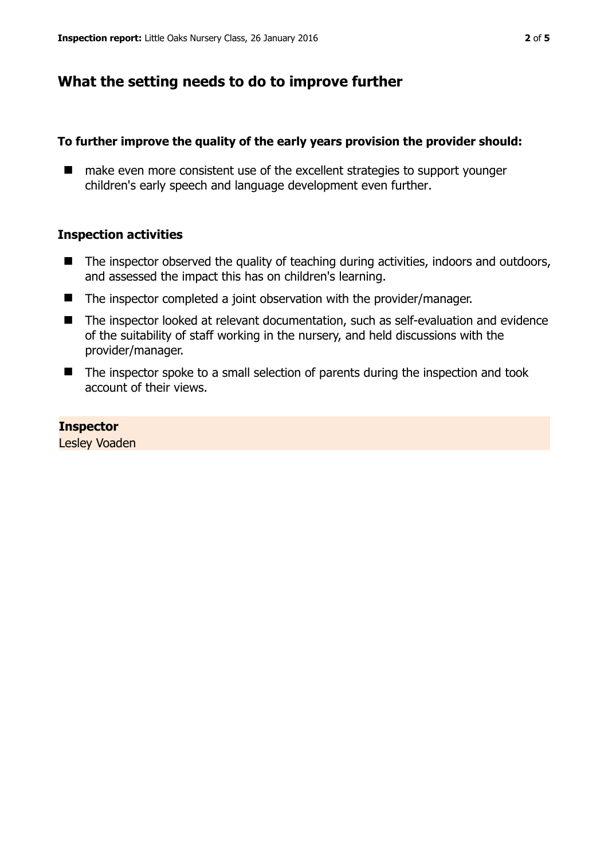## **What the setting needs to do to improve further**

#### **To further improve the quality of the early years provision the provider should:**

■ make even more consistent use of the excellent strategies to support younger children's early speech and language development even further.

#### **Inspection activities**

- $\blacksquare$  The inspector observed the quality of teaching during activities, indoors and outdoors, and assessed the impact this has on children's learning.
- The inspector completed a joint observation with the provider/manager.
- The inspector looked at relevant documentation, such as self-evaluation and evidence of the suitability of staff working in the nursery, and held discussions with the provider/manager.
- The inspector spoke to a small selection of parents during the inspection and took account of their views.

#### **Inspector**

Lesley Voaden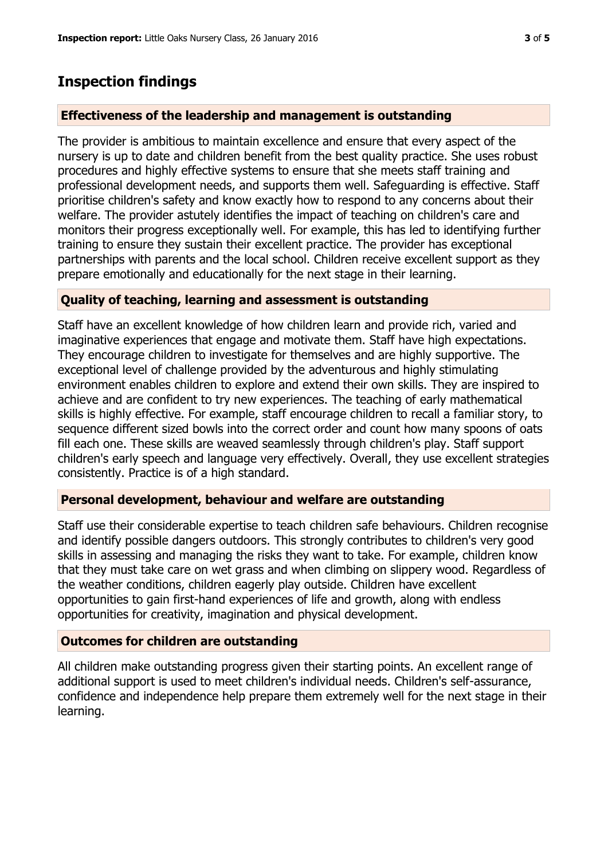## **Inspection findings**

## **Effectiveness of the leadership and management is outstanding**

The provider is ambitious to maintain excellence and ensure that every aspect of the nursery is up to date and children benefit from the best quality practice. She uses robust procedures and highly effective systems to ensure that she meets staff training and professional development needs, and supports them well. Safeguarding is effective. Staff prioritise children's safety and know exactly how to respond to any concerns about their welfare. The provider astutely identifies the impact of teaching on children's care and monitors their progress exceptionally well. For example, this has led to identifying further training to ensure they sustain their excellent practice. The provider has exceptional partnerships with parents and the local school. Children receive excellent support as they prepare emotionally and educationally for the next stage in their learning.

### **Quality of teaching, learning and assessment is outstanding**

Staff have an excellent knowledge of how children learn and provide rich, varied and imaginative experiences that engage and motivate them. Staff have high expectations. They encourage children to investigate for themselves and are highly supportive. The exceptional level of challenge provided by the adventurous and highly stimulating environment enables children to explore and extend their own skills. They are inspired to achieve and are confident to try new experiences. The teaching of early mathematical skills is highly effective. For example, staff encourage children to recall a familiar story, to sequence different sized bowls into the correct order and count how many spoons of oats fill each one. These skills are weaved seamlessly through children's play. Staff support children's early speech and language very effectively. Overall, they use excellent strategies consistently. Practice is of a high standard.

## **Personal development, behaviour and welfare are outstanding**

Staff use their considerable expertise to teach children safe behaviours. Children recognise and identify possible dangers outdoors. This strongly contributes to children's very good skills in assessing and managing the risks they want to take. For example, children know that they must take care on wet grass and when climbing on slippery wood. Regardless of the weather conditions, children eagerly play outside. Children have excellent opportunities to gain first-hand experiences of life and growth, along with endless opportunities for creativity, imagination and physical development.

### **Outcomes for children are outstanding**

All children make outstanding progress given their starting points. An excellent range of additional support is used to meet children's individual needs. Children's self-assurance, confidence and independence help prepare them extremely well for the next stage in their learning.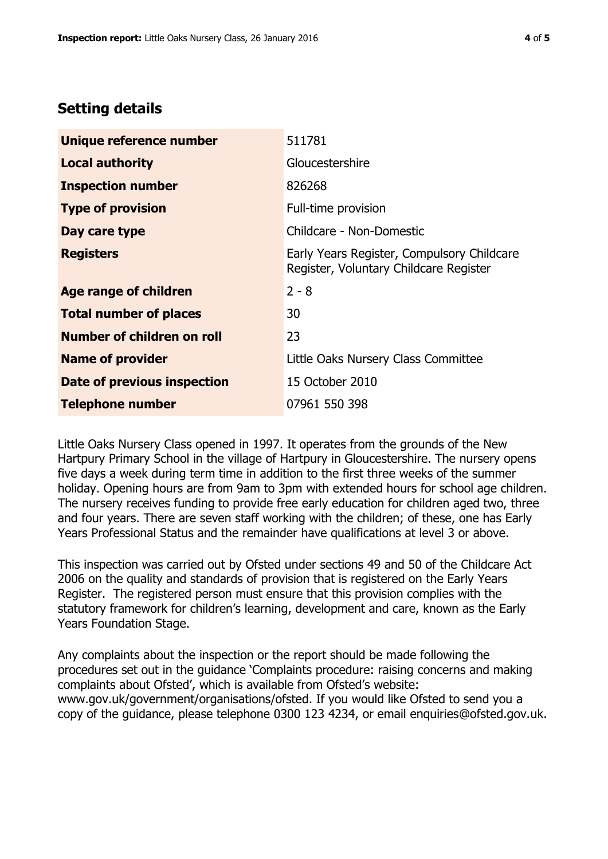## **Setting details**

| Unique reference number       | 511781                                                                               |
|-------------------------------|--------------------------------------------------------------------------------------|
| <b>Local authority</b>        | Gloucestershire                                                                      |
| <b>Inspection number</b>      | 826268                                                                               |
| <b>Type of provision</b>      | Full-time provision                                                                  |
| Day care type                 | Childcare - Non-Domestic                                                             |
| <b>Registers</b>              | Early Years Register, Compulsory Childcare<br>Register, Voluntary Childcare Register |
| <b>Age range of children</b>  | $2 - 8$                                                                              |
| <b>Total number of places</b> | 30                                                                                   |
| Number of children on roll    | 23                                                                                   |
| <b>Name of provider</b>       | Little Oaks Nursery Class Committee                                                  |
| Date of previous inspection   | 15 October 2010                                                                      |
| <b>Telephone number</b>       | 07961 550 398                                                                        |

Little Oaks Nursery Class opened in 1997. It operates from the grounds of the New Hartpury Primary School in the village of Hartpury in Gloucestershire. The nursery opens five days a week during term time in addition to the first three weeks of the summer holiday. Opening hours are from 9am to 3pm with extended hours for school age children. The nursery receives funding to provide free early education for children aged two, three and four years. There are seven staff working with the children; of these, one has Early Years Professional Status and the remainder have qualifications at level 3 or above.

This inspection was carried out by Ofsted under sections 49 and 50 of the Childcare Act 2006 on the quality and standards of provision that is registered on the Early Years Register. The registered person must ensure that this provision complies with the statutory framework for children's learning, development and care, known as the Early Years Foundation Stage.

Any complaints about the inspection or the report should be made following the procedures set out in the guidance 'Complaints procedure: raising concerns and making complaints about Ofsted', which is available from Ofsted's website: www.gov.uk/government/organisations/ofsted. If you would like Ofsted to send you a copy of the guidance, please telephone 0300 123 4234, or email enquiries@ofsted.gov.uk.